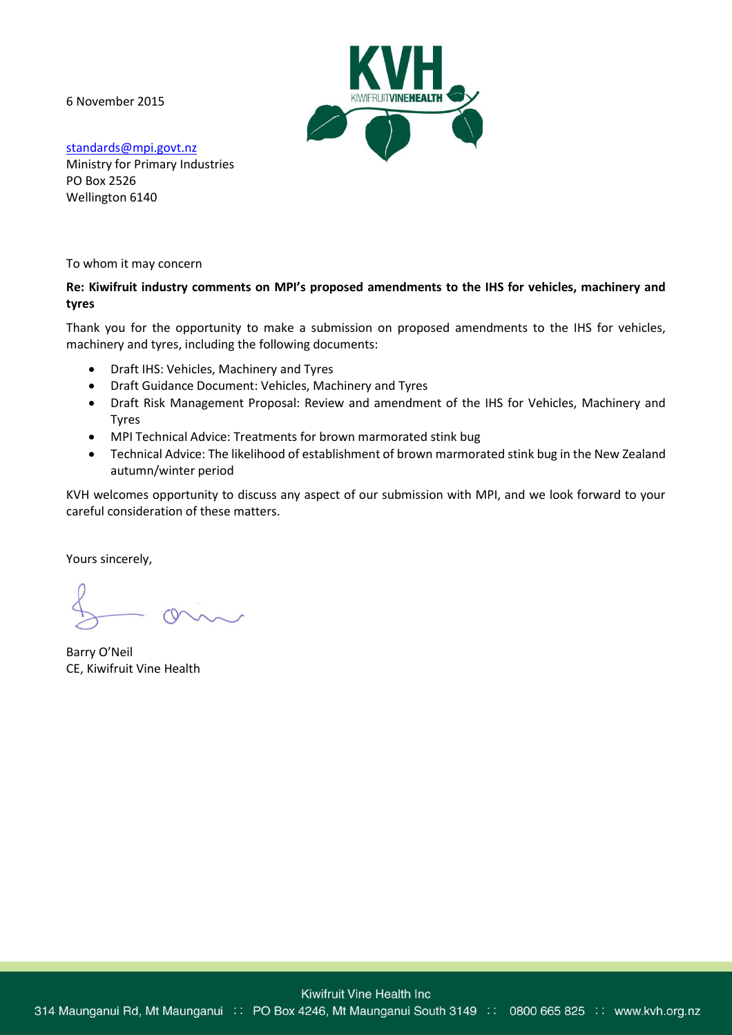6 November 2015



[standards@mpi.govt.nz](mailto:standards@mpi.govt.nz) Ministry for Primary Industries PO Box 2526 Wellington 6140

To whom it may concern

# **Re: Kiwifruit industry comments on MPI's proposed amendments to the IHS for vehicles, machinery and tyres**

Thank you for the opportunity to make a submission on proposed amendments to the IHS for vehicles, machinery and tyres, including the following documents:

- Draft IHS: Vehicles, Machinery and Tyres
- Draft Guidance Document: Vehicles, Machinery and Tyres
- Draft Risk Management Proposal: Review and amendment of the IHS for Vehicles, Machinery and Tyres
- MPI Technical Advice: Treatments for brown marmorated stink bug
- Technical Advice: The likelihood of establishment of brown marmorated stink bug in the New Zealand autumn/winter period

KVH welcomes opportunity to discuss any aspect of our submission with MPI, and we look forward to your careful consideration of these matters.

Yours sincerely,

Barry O'Neil CE, Kiwifruit Vine Health

314 Maunganui Rd, Mt Maunganui :: PO Box 4246, Mt Maunganui South 3149 :: 0800 665 825 :: www.kvh.org.nz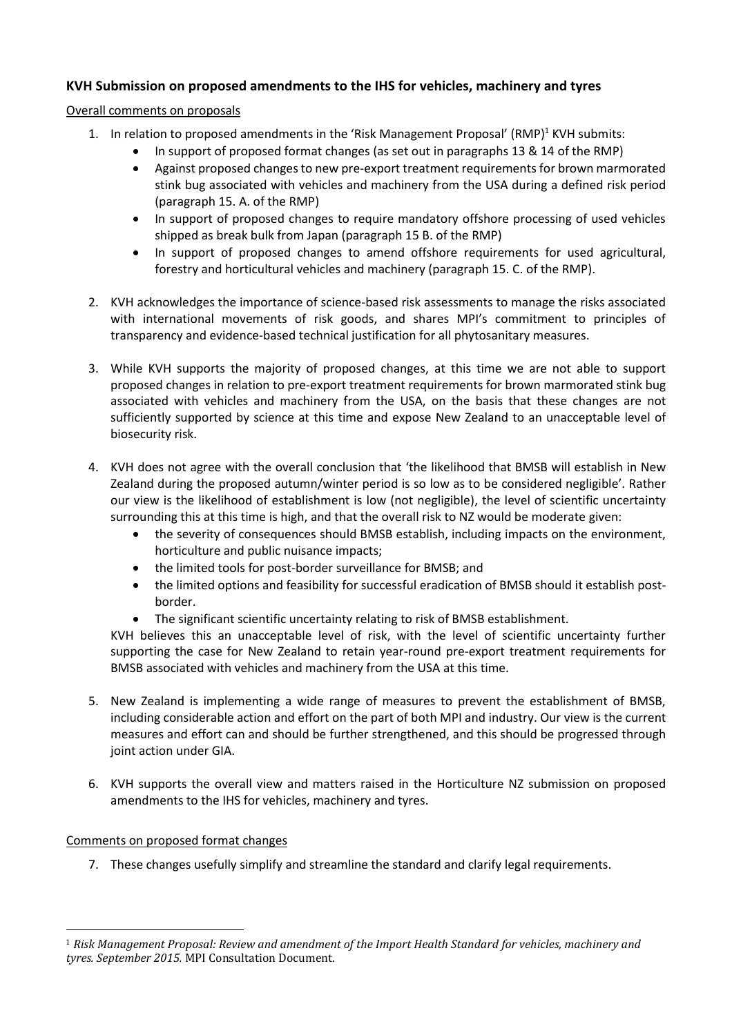# **KVH Submission on proposed amendments to the IHS for vehicles, machinery and tyres**

#### Overall comments on proposals

- 1. In relation to proposed amendments in the 'Risk Management Proposal'  $(RMP)^1$  KVH submits:
	- In support of proposed format changes (as set out in paragraphs 13 & 14 of the RMP)
	- Against proposed changes to new pre-export treatment requirements for brown marmorated stink bug associated with vehicles and machinery from the USA during a defined risk period (paragraph 15. A. of the RMP)
	- In support of proposed changes to require mandatory offshore processing of used vehicles shipped as break bulk from Japan (paragraph 15 B. of the RMP)
	- In support of proposed changes to amend offshore requirements for used agricultural, forestry and horticultural vehicles and machinery (paragraph 15. C. of the RMP).
- 2. KVH acknowledges the importance of science-based risk assessments to manage the risks associated with international movements of risk goods, and shares MPI's commitment to principles of transparency and evidence-based technical justification for all phytosanitary measures.
- 3. While KVH supports the majority of proposed changes, at this time we are not able to support proposed changes in relation to pre-export treatment requirements for brown marmorated stink bug associated with vehicles and machinery from the USA, on the basis that these changes are not sufficiently supported by science at this time and expose New Zealand to an unacceptable level of biosecurity risk.
- 4. KVH does not agree with the overall conclusion that 'the likelihood that BMSB will establish in New Zealand during the proposed autumn/winter period is so low as to be considered negligible'. Rather our view is the likelihood of establishment is low (not negligible), the level of scientific uncertainty surrounding this at this time is high, and that the overall risk to NZ would be moderate given:
	- the severity of consequences should BMSB establish, including impacts on the environment, horticulture and public nuisance impacts;
	- the limited tools for post-border surveillance for BMSB; and
	- the limited options and feasibility for successful eradication of BMSB should it establish postborder.
	- The significant scientific uncertainty relating to risk of BMSB establishment.

KVH believes this an unacceptable level of risk, with the level of scientific uncertainty further supporting the case for New Zealand to retain year-round pre-export treatment requirements for BMSB associated with vehicles and machinery from the USA at this time.

- 5. New Zealand is implementing a wide range of measures to prevent the establishment of BMSB, including considerable action and effort on the part of both MPI and industry. Our view is the current measures and effort can and should be further strengthened, and this should be progressed through joint action under GIA.
- 6. KVH supports the overall view and matters raised in the Horticulture NZ submission on proposed amendments to the IHS for vehicles, machinery and tyres.

## Comments on proposed format changes

 $\overline{a}$ 

7. These changes usefully simplify and streamline the standard and clarify legal requirements.

<sup>1</sup> *Risk Management Proposal: Review and amendment of the Import Health Standard for vehicles, machinery and tyres. September 2015.* MPI Consultation Document.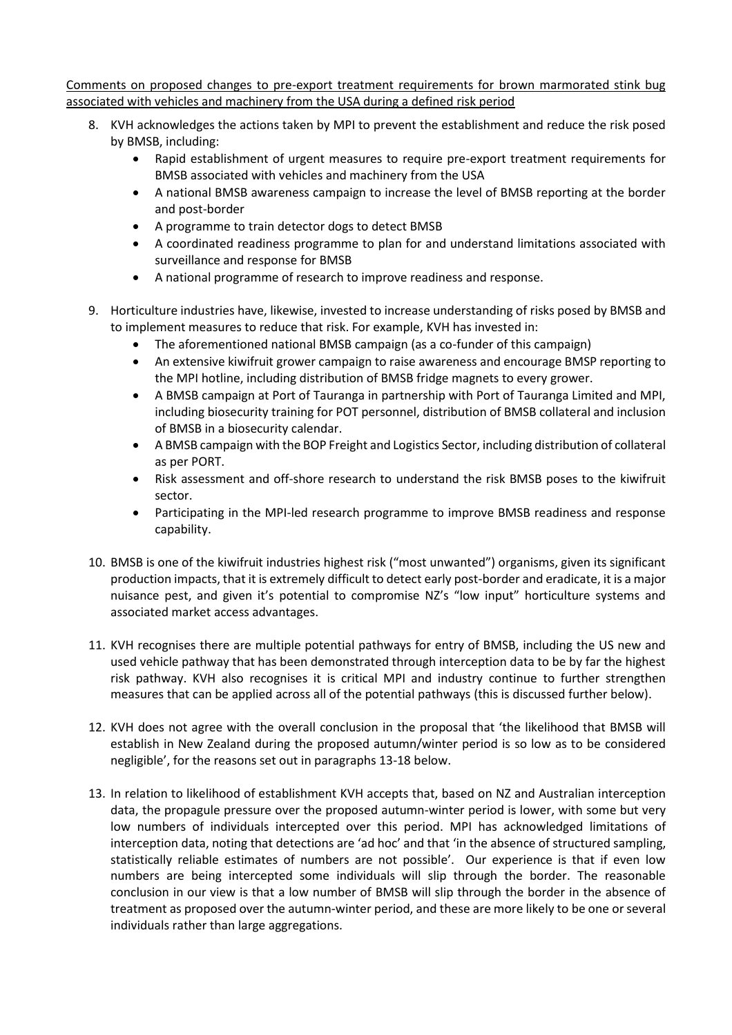Comments on proposed changes to pre-export treatment requirements for brown marmorated stink bug associated with vehicles and machinery from the USA during a defined risk period

- 8. KVH acknowledges the actions taken by MPI to prevent the establishment and reduce the risk posed by BMSB, including:
	- Rapid establishment of urgent measures to require pre-export treatment requirements for BMSB associated with vehicles and machinery from the USA
	- A national BMSB awareness campaign to increase the level of BMSB reporting at the border and post-border
	- A programme to train detector dogs to detect BMSB
	- A coordinated readiness programme to plan for and understand limitations associated with surveillance and response for BMSB
	- A national programme of research to improve readiness and response.
- 9. Horticulture industries have, likewise, invested to increase understanding of risks posed by BMSB and to implement measures to reduce that risk. For example, KVH has invested in:
	- The aforementioned national BMSB campaign (as a co-funder of this campaign)
	- An extensive kiwifruit grower campaign to raise awareness and encourage BMSP reporting to the MPI hotline, including distribution of BMSB fridge magnets to every grower.
	- A BMSB campaign at Port of Tauranga in partnership with Port of Tauranga Limited and MPI, including biosecurity training for POT personnel, distribution of BMSB collateral and inclusion of BMSB in a biosecurity calendar.
	- A BMSB campaign with the BOP Freight and Logistics Sector, including distribution of collateral as per PORT.
	- Risk assessment and off-shore research to understand the risk BMSB poses to the kiwifruit sector.
	- Participating in the MPI-led research programme to improve BMSB readiness and response capability.
- 10. BMSB is one of the kiwifruit industries highest risk ("most unwanted") organisms, given its significant production impacts, that it is extremely difficult to detect early post-border and eradicate, it is a major nuisance pest, and given it's potential to compromise NZ's "low input" horticulture systems and associated market access advantages.
- 11. KVH recognises there are multiple potential pathways for entry of BMSB, including the US new and used vehicle pathway that has been demonstrated through interception data to be by far the highest risk pathway. KVH also recognises it is critical MPI and industry continue to further strengthen measures that can be applied across all of the potential pathways (this is discussed further below).
- 12. KVH does not agree with the overall conclusion in the proposal that 'the likelihood that BMSB will establish in New Zealand during the proposed autumn/winter period is so low as to be considered negligible', for the reasons set out in paragraphs 13-18 below.
- 13. In relation to likelihood of establishment KVH accepts that, based on NZ and Australian interception data, the propagule pressure over the proposed autumn-winter period is lower, with some but very low numbers of individuals intercepted over this period. MPI has acknowledged limitations of interception data, noting that detections are 'ad hoc' and that 'in the absence of structured sampling, statistically reliable estimates of numbers are not possible'. Our experience is that if even low numbers are being intercepted some individuals will slip through the border. The reasonable conclusion in our view is that a low number of BMSB will slip through the border in the absence of treatment as proposed over the autumn-winter period, and these are more likely to be one or several individuals rather than large aggregations.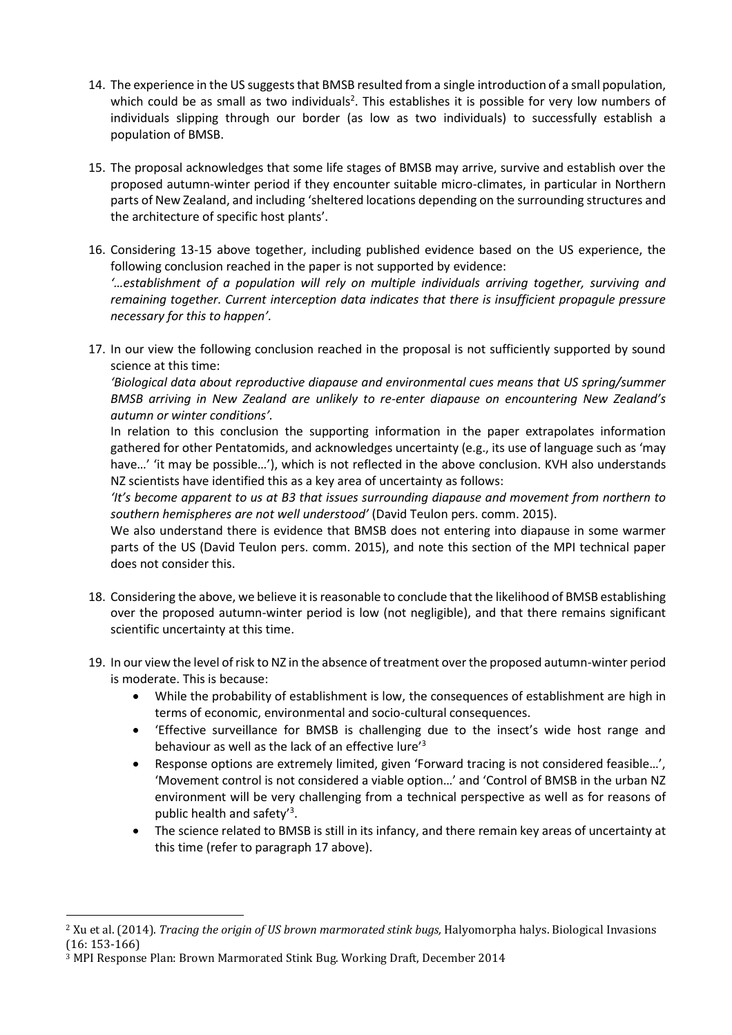- 14. The experience in the US suggests that BMSB resulted from a single introduction of a small population, which could be as small as two individuals<sup>2</sup>. This establishes it is possible for very low numbers of individuals slipping through our border (as low as two individuals) to successfully establish a population of BMSB.
- 15. The proposal acknowledges that some life stages of BMSB may arrive, survive and establish over the proposed autumn-winter period if they encounter suitable micro-climates, in particular in Northern parts of New Zealand, and including 'sheltered locations depending on the surrounding structures and the architecture of specific host plants'.
- 16. Considering 13-15 above together, including published evidence based on the US experience, the following conclusion reached in the paper is not supported by evidence: *'…establishment of a population will rely on multiple individuals arriving together, surviving and remaining together. Current interception data indicates that there is insufficient propagule pressure necessary for this to happen'.*
- 17. In our view the following conclusion reached in the proposal is not sufficiently supported by sound science at this time:

*'Biological data about reproductive diapause and environmental cues means that US spring/summer BMSB arriving in New Zealand are unlikely to re-enter diapause on encountering New Zealand's autumn or winter conditions'.*

In relation to this conclusion the supporting information in the paper extrapolates information gathered for other Pentatomids, and acknowledges uncertainty (e.g., its use of language such as 'may have...' 'it may be possible...'), which is not reflected in the above conclusion. KVH also understands NZ scientists have identified this as a key area of uncertainty as follows:

*'It's become apparent to us at B3 that issues surrounding diapause and movement from northern to southern hemispheres are not well understood'* (David Teulon pers. comm. 2015).

We also understand there is evidence that BMSB does not entering into diapause in some warmer parts of the US (David Teulon pers. comm. 2015), and note this section of the MPI technical paper does not consider this.

- 18. Considering the above, we believe it is reasonable to conclude that the likelihood of BMSB establishing over the proposed autumn-winter period is low (not negligible), and that there remains significant scientific uncertainty at this time.
- 19. In our view the level of risk to NZ in the absence of treatment over the proposed autumn-winter period is moderate. This is because:
	- While the probability of establishment is low, the consequences of establishment are high in terms of economic, environmental and socio-cultural consequences.
	- 'Effective surveillance for BMSB is challenging due to the insect's wide host range and behaviour as well as the lack of an effective lure'<sup>3</sup>
	- Response options are extremely limited, given 'Forward tracing is not considered feasible…', 'Movement control is not considered a viable option…' and 'Control of BMSB in the urban NZ environment will be very challenging from a technical perspective as well as for reasons of public health and safety'<sup>3</sup>.
	- The science related to BMSB is still in its infancy, and there remain key areas of uncertainty at this time (refer to paragraph 17 above).

 $\overline{a}$ <sup>2</sup> Xu et al. (2014). *Tracing the origin of US brown marmorated stink bugs,* Halyomorpha halys. Biological Invasions (16: 153-166)

<sup>3</sup> MPI Response Plan: Brown Marmorated Stink Bug. Working Draft, December 2014